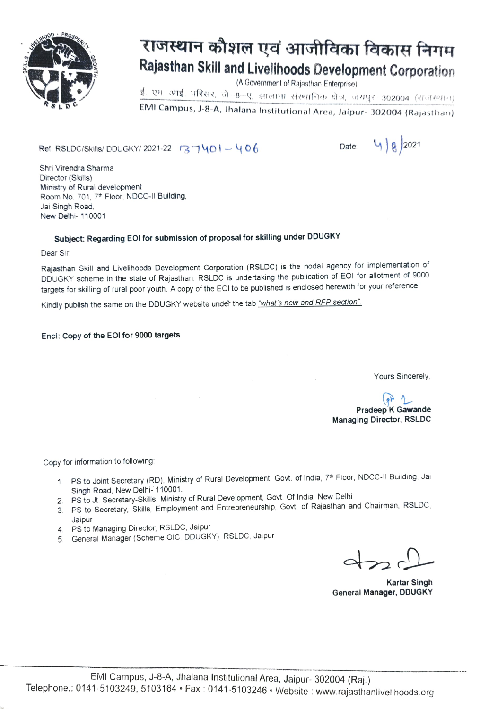

# राजस्थान कौशल एवं आजीविका विकास निगम Rajasthan Skill and Livelihoods Development Corporation

(A Government of Rajasthan Enterprise)

ई. एम. आई. परिसर, जे—8--ए, झालाना संस्थानिक क्षेत्र, जंगपुर-302004 (राजस्थान)

EMI Campus, J-8-A, Jhalana Institutional Area, Jaipur- 302004 (Rajasthan)

Ref: RSLDC/Skills/ DDUGKY/ 2021-22 37401-406 Date:  $4)8$  2021

Shri Virendra Sharma Director (Skills) Ministry of Rural development Room No. 701, 7<sup>th</sup> Floor, NDCC-II Building, Jai Singh Road New Delhi- 110001

### Subject: Regarding EOI for submission of proposal for skilling under DDUGKY

Dear Sir

Rajasthan Skill and Livelihoods Development Corporation (RSLDC) is the nodal agency for implementation of DDUGKY scheme in the state of Rajasthan. RSLDC is undertaking the publication of EOI for allotment of 9000 targets for skilling of rural poor youth. A copy of the EOl to be published is enclosed herewith for your reference

Kindly publish the same on the DDUGKY website under the tab "what's new and RFP section".

#### Enci: Copy of the EOl for 9000 targets

Yours Sincerely

Pradeep K Gawande Managing Director, RSLDC

Copy for information to following

- 1 PS to Joint Secretary (RD), Ministry of Rural Development, Govt. of India, 7th Floor, NDCC-II Building. Jai Singh Road, New Delhi- 110001.
- 2. PS to Jt. Secretary-Skills, Ministry of Rural Development, Govt. Of India, New Delhi
- 3 PS to Secretary, Skills, Employment and Entrepreneurship, Govt. of Rajasthan and Chairman, RSLDC
- Jaipur 4. PS to Managing Director, RSLDC, Jaipur
- 5 General Manager (Scheme OIC: DDUGKY), RSLDC, Jaipur

Kartar Singh General Manager, DDUGKY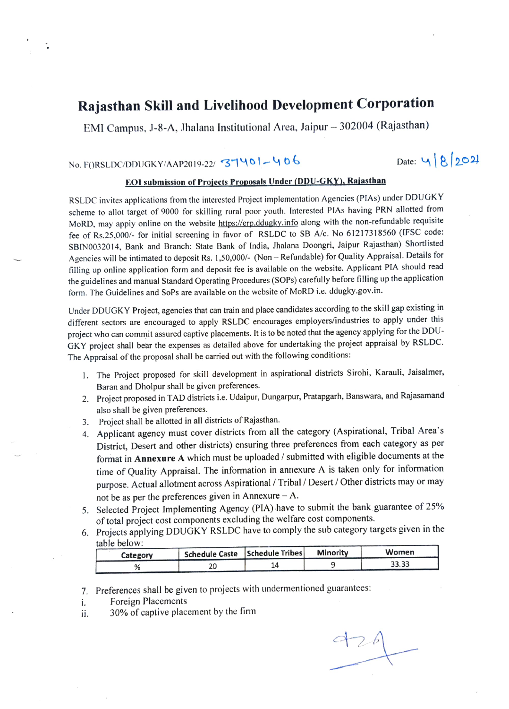### Rajasthan Skill and Livelihood Development Corporation

EMI Campus, J-8-A, Jhalana Institutional Area, Jaipur - 302004 (Rajasthan)

## No. F()RSLDC/DDUGKY/AAP2019-22/ 37401-406 Date: 9 2021

### EOI submision of Proiets Proposals Under (DDU-GKY), Rajasthan

RSLDC invites applications from the interested Project implementation Agencies (PIAs) under DDUGKY scheme to allot target of 9000 for skilling rural poor youth. Interested PlAs having PRN allotted from MoRD, may apply online on the website https://erp.ddugky.info along with the non-refundable requisite fee of Rs.25,000/- for initial screening in favor of RSLDC to SB A/c. No 61217318560 (IFSC code: SBINO032014, Bank and Branch: State Bank of India, Jhalana Doongri, Jaipur Rajasthan) Shortlisted Agencies will be intimated to deposit Rs. 1,50,000/- (Non - Refundable) for Quality Appraisal. Details for filling up online application form and deposit fee is available on the website. Applicant PIA should read the guidelines and manual Standard Operating Procedures (SOPs) carefully before filling up the application form. The Guidelines and SoPs are available on the website of MoRD i.e. ddugky-gov.in.

Under DDUGKY Project, agencies that can train and place candidates according to the skill gap existing in different sectors are encouraged to apply RSLDC encourages employers/industries to apply under this project who can commit assured captive placements. It is to be noted that the agency applying for the DDU-GKY project shall bear the expenses as detailed above for undertaking the project appraisal by RSLDC. The Appraisal of the proposal shall be carried out with the following conditions:

- 1. The Project proposed for skill development in aspirational districts Sirohi, Karauli, Jaisalmer, Baran and Dholpur shall be given preferences
- Project proposed in TAD districts i.e. Udaipur, Dungarpur, Pratapgarh, Banswara, and Rajasamand also shall be given preferences.
- 3. Project shall be allotted in all districts of Rajasthan.
- 4. Applicant agency must cover districts from all the category (Aspirational, Tribal Area's District, Desert and other districts) ensuring three preferences from each category as per format in Annexure A which must be uploaded / submitted with eligible documents at the time of Quality Appraisal. The information in annexure A is taken only for information purpose. Actual allotment across Aspirational/Tribal / Desert / Other districts may or may not be as per the preferences given in Annexure  $- A$ .
- 5. Selected Project Implementing Agency (PIA) have to submit the bank guarantee of 25% of total project cost components excluding the welfare cost components.
- Projects applying DDUGKY RSLDC have to comply the sub category targets given in the table below:

| <u>lauju uutu w.</u><br>Schedule Caste   Schedule Tribes <br>Category |  | Minority | Women |  |
|-----------------------------------------------------------------------|--|----------|-------|--|
|                                                                       |  |          | 33.33 |  |

- 7. Preferences shall be given to projects with undermentioned guarantees:
- Foreign Placements i.
- 30% of captive placement by the firm ii.